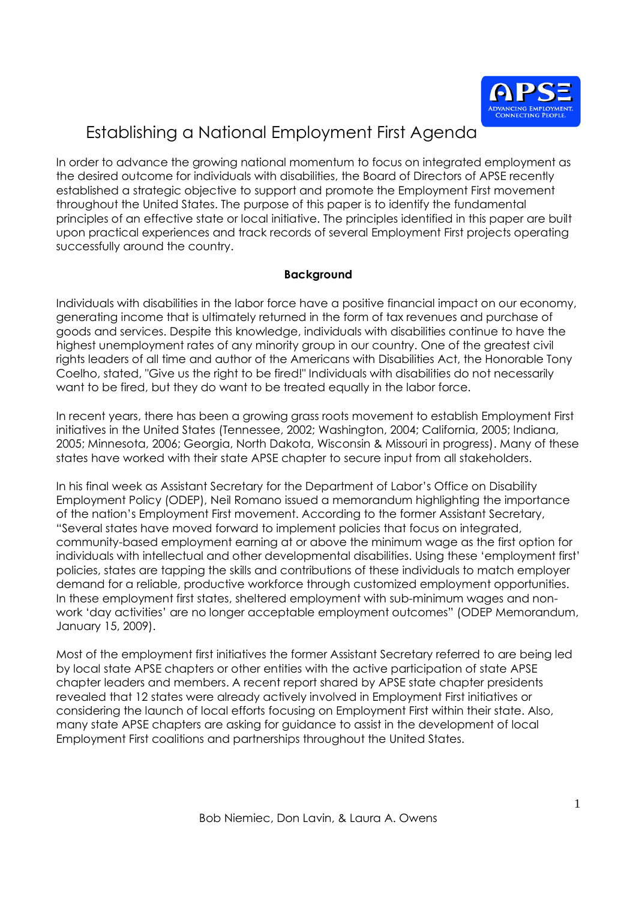

In order to advance the growing national momentum to focus on integrated employment as the desired outcome for individuals with disabilities, the Board of Directors of APSE recently established a strategic objective to support and promote the Employment First movement throughout the United States. The purpose of this paper is to identify the fundamental principles of an effective state or local initiative. The principles identified in this paper are built upon practical experiences and track records of several Employment First projects operating successfully around the country.

### **Background**

Individuals with disabilities in the labor force have a positive financial impact on our economy, generating income that is ultimately returned in the form of tax revenues and purchase of goods and services. Despite this knowledge, individuals with disabilities continue to have the highest unemployment rates of any minority group in our country. One of the greatest civil rights leaders of all time and author of the Americans with Disabilities Act, the Honorable Tony Coelho, stated, "Give us the right to be fired!" Individuals with disabilities do not necessarily want to be fired, but they do want to be treated equally in the labor force.

In recent years, there has been a growing grass roots movement to establish Employment First initiatives in the United States (Tennessee, 2002; Washington, 2004; California, 2005; Indiana, 2005; Minnesota, 2006; Georgia, North Dakota, Wisconsin & Missouri in progress). Many of these states have worked with their state APSE chapter to secure input from all stakeholders.

In his final week as Assistant Secretary for the Department of Labor's Office on Disability Employment Policy (ODEP), Neil Romano issued a memorandum highlighting the importance of the nation's Employment First movement. According to the former Assistant Secretary, "Several states have moved forward to implement policies that focus on integrated, community-based employment earning at or above the minimum wage as the first option for individuals with intellectual and other developmental disabilities. Using these 'employment first' policies, states are tapping the skills and contributions of these individuals to match employer demand for a reliable, productive workforce through customized employment opportunities. In these employment first states, sheltered employment with sub-minimum wages and nonwork 'day activities' are no longer acceptable employment outcomes" (ODEP Memorandum, January 15, 2009).

Most of the employment first initiatives the former Assistant Secretary referred to are being led by local state APSE chapters or other entities with the active participation of state APSE chapter leaders and members. A recent report shared by APSE state chapter presidents revealed that 12 states were already actively involved in Employment First initiatives or considering the launch of local efforts focusing on Employment First within their state. Also, many state APSE chapters are asking for guidance to assist in the development of local Employment First coalitions and partnerships throughout the United States.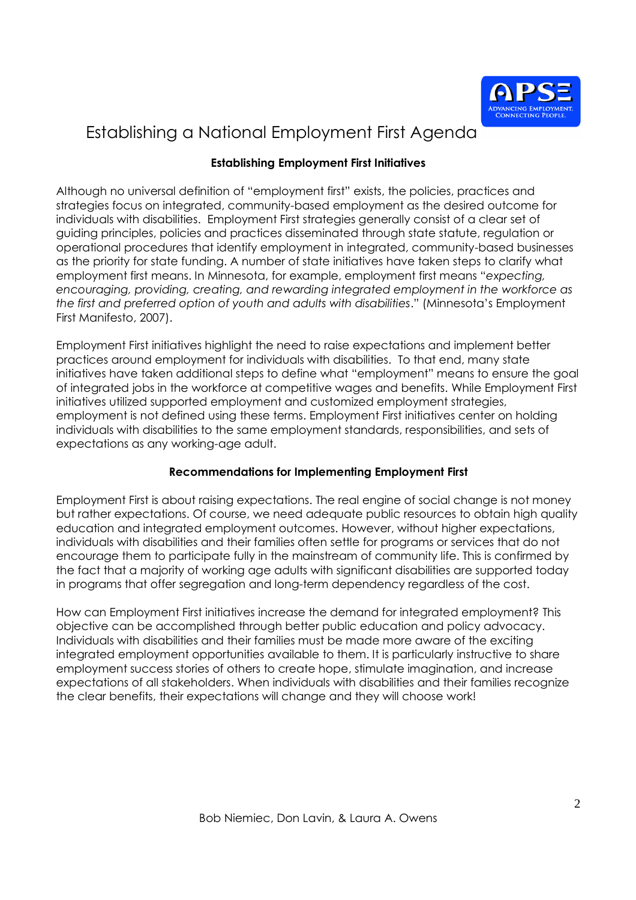

### **Establishing Employment First Initiatives**

Although no universal definition of "employment first" exists, the policies, practices and strategies focus on integrated, community-based employment as the desired outcome for individuals with disabilities. Employment First strategies generally consist of a clear set of guiding principles, policies and practices disseminated through state statute, regulation or operational procedures that identify employment in integrated, community-based businesses as the priority for state funding. A number of state initiatives have taken steps to clarify what employment first means. In Minnesota, for example, employment first means "*expecting, encouraging, providing, creating, and rewarding integrated employment in the workforce as the first and preferred option of youth and adults with disabilities*." (Minnesota's Employment First Manifesto, 2007).

Employment First initiatives highlight the need to raise expectations and implement better practices around employment for individuals with disabilities. To that end, many state initiatives have taken additional steps to define what "employment" means to ensure the goal of integrated jobs in the workforce at competitive wages and benefits. While Employment First initiatives utilized supported employment and customized employment strategies, employment is not defined using these terms. Employment First initiatives center on holding individuals with disabilities to the same employment standards, responsibilities, and sets of expectations as any working-age adult.

### **Recommendations for Implementing Employment First**

Employment First is about raising expectations. The real engine of social change is not money but rather expectations. Of course, we need adequate public resources to obtain high quality education and integrated employment outcomes. However, without higher expectations, individuals with disabilities and their families often settle for programs or services that do not encourage them to participate fully in the mainstream of community life. This is confirmed by the fact that a majority of working age adults with significant disabilities are supported today in programs that offer segregation and long-term dependency regardless of the cost.

How can Employment First initiatives increase the demand for integrated employment? This objective can be accomplished through better public education and policy advocacy. Individuals with disabilities and their families must be made more aware of the exciting integrated employment opportunities available to them. It is particularly instructive to share employment success stories of others to create hope, stimulate imagination, and increase expectations of all stakeholders. When individuals with disabilities and their families recognize the clear benefits, their expectations will change and they will choose work!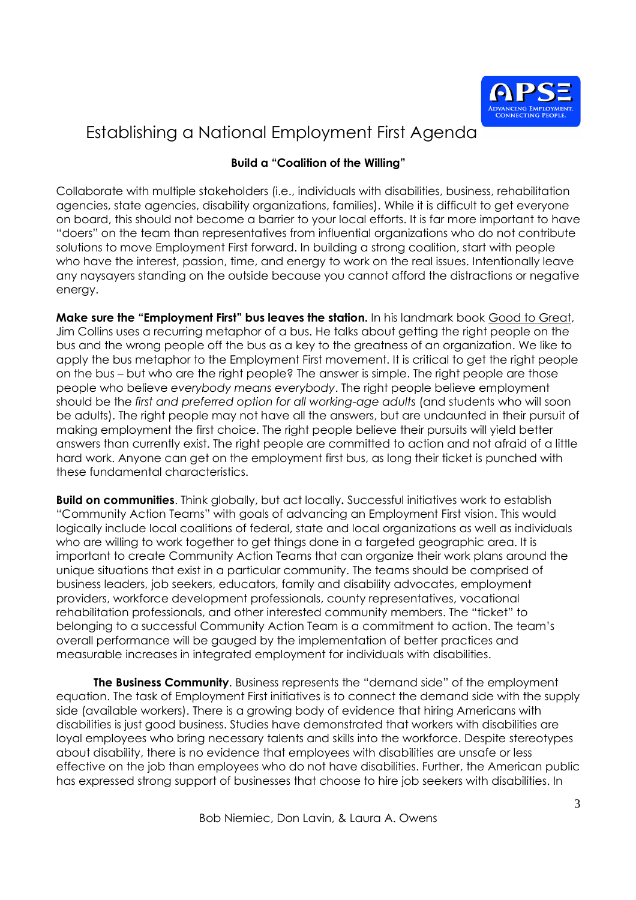

### **Build a "Coalition of the Willing"**

Collaborate with multiple stakeholders (i.e., individuals with disabilities, business, rehabilitation agencies, state agencies, disability organizations, families). While it is difficult to get everyone on board, this should not become a barrier to your local efforts. It is far more important to have "doers" on the team than representatives from influential organizations who do not contribute solutions to move Employment First forward. In building a strong coalition, start with people who have the interest, passion, time, and energy to work on the real issues. Intentionally leave any naysayers standing on the outside because you cannot afford the distractions or negative energy.

**Make sure the "Employment First" bus leaves the station.** In his landmark book Good to Great, Jim Collins uses a recurring metaphor of a bus. He talks about getting the right people on the bus and the wrong people off the bus as a key to the greatness of an organization. We like to apply the bus metaphor to the Employment First movement. It is critical to get the right people on the bus – but who are the right people? The answer is simple. The right people are those people who believe *everybody means everybody*. The right people believe employment should be the *first and preferred option for all working-age adults* (and students who will soon be adults). The right people may not have all the answers, but are undaunted in their pursuit of making employment the first choice. The right people believe their pursuits will yield better answers than currently exist. The right people are committed to action and not afraid of a little hard work. Anyone can get on the employment first bus, as long their ticket is punched with these fundamental characteristics.

**Build on communities**. Think globally, but act locally**.** Successful initiatives work to establish "Community Action Teams" with goals of advancing an Employment First vision. This would logically include local coalitions of federal, state and local organizations as well as individuals who are willing to work together to get things done in a targeted geographic area. It is important to create Community Action Teams that can organize their work plans around the unique situations that exist in a particular community. The teams should be comprised of business leaders, job seekers, educators, family and disability advocates, employment providers, workforce development professionals, county representatives, vocational rehabilitation professionals, and other interested community members. The "ticket" to belonging to a successful Community Action Team is a commitment to action. The team's overall performance will be gauged by the implementation of better practices and measurable increases in integrated employment for individuals with disabilities.

**The Business Community**. Business represents the "demand side" of the employment equation. The task of Employment First initiatives is to connect the demand side with the supply side (available workers). There is a growing body of evidence that hiring Americans with disabilities is just good business. Studies have demonstrated that workers with disabilities are loyal employees who bring necessary talents and skills into the workforce. Despite stereotypes about disability, there is no evidence that employees with disabilities are unsafe or less effective on the job than employees who do not have disabilities. Further, the American public has expressed strong support of businesses that choose to hire job seekers with disabilities. In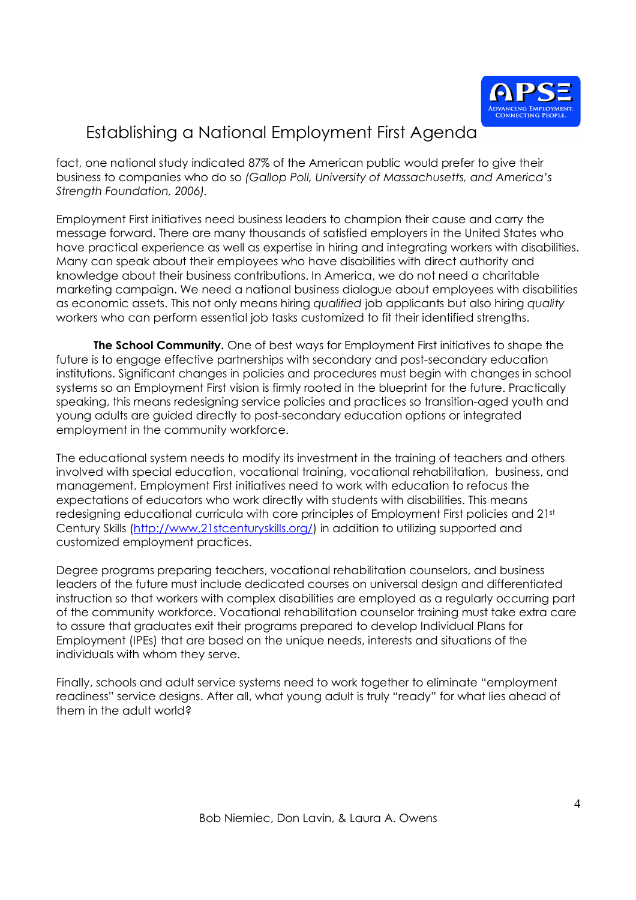

fact, one national study indicated 87% of the American public would prefer to give their business to companies who do so *(Gallop Poll, University of Massachusetts, and America's Strength Foundation, 2006).*

Employment First initiatives need business leaders to champion their cause and carry the message forward. There are many thousands of satisfied employers in the United States who have practical experience as well as expertise in hiring and integrating workers with disabilities. Many can speak about their employees who have disabilities with direct authority and knowledge about their business contributions. In America, we do not need a charitable marketing campaign. We need a national business dialogue about employees with disabilities as economic assets. This not only means hiring *qualified* job applicants but also hiring *quality* workers who can perform essential job tasks customized to fit their identified strengths.

**The School Community.** One of best ways for Employment First initiatives to shape the future is to engage effective partnerships with secondary and post-secondary education institutions. Significant changes in policies and procedures must begin with changes in school systems so an Employment First vision is firmly rooted in the blueprint for the future. Practically speaking, this means redesigning service policies and practices so transition-aged youth and young adults are guided directly to post-secondary education options or integrated employment in the community workforce.

The educational system needs to modify its investment in the training of teachers and others involved with special education, vocational training, vocational rehabilitation, business, and management. Employment First initiatives need to work with education to refocus the expectations of educators who work directly with students with disabilities. This means redesigning educational curricula with core principles of Employment First policies and 21st Century Skills (http://www.21stcenturyskills.org/) in addition to utilizing supported and customized employment practices.

Degree programs preparing teachers, vocational rehabilitation counselors, and business leaders of the future must include dedicated courses on universal design and differentiated instruction so that workers with complex disabilities are employed as a regularly occurring part of the community workforce. Vocational rehabilitation counselor training must take extra care to assure that graduates exit their programs prepared to develop Individual Plans for Employment (IPEs) that are based on the unique needs, interests and situations of the individuals with whom they serve.

Finally, schools and adult service systems need to work together to eliminate "employment readiness" service designs. After all, what young adult is truly "ready" for what lies ahead of them in the adult world?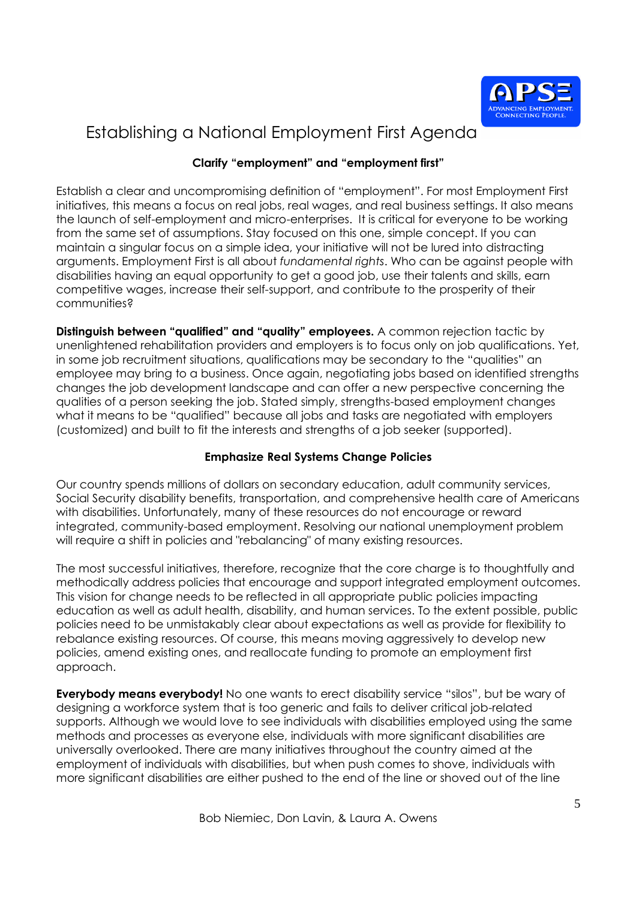

### **Clarify "employment" and "employment first"**

Establish a clear and uncompromising definition of "employment". For most Employment First initiatives, this means a focus on real jobs, real wages, and real business settings. It also means the launch of self-employment and micro-enterprises. It is critical for everyone to be working from the same set of assumptions. Stay focused on this one, simple concept. If you can maintain a singular focus on a simple idea, your initiative will not be lured into distracting arguments. Employment First is all about *fundamental rights*. Who can be against people with disabilities having an equal opportunity to get a good job, use their talents and skills, earn competitive wages, increase their self-support, and contribute to the prosperity of their communities?

**Distinguish between "qualified" and "quality" employees.** A common rejection tactic by unenlightened rehabilitation providers and employers is to focus only on job qualifications. Yet, in some job recruitment situations, qualifications may be secondary to the "qualities" an employee may bring to a business. Once again, negotiating jobs based on identified strengths changes the job development landscape and can offer a new perspective concerning the qualities of a person seeking the job. Stated simply, strengths-based employment changes what it means to be "qualified" because all jobs and tasks are negotiated with employers (customized) and built to fit the interests and strengths of a job seeker (supported).

### **Emphasize Real Systems Change Policies**

Our country spends millions of dollars on secondary education, adult community services, Social Security disability benefits, transportation, and comprehensive health care of Americans with disabilities. Unfortunately, many of these resources do not encourage or reward integrated, community-based employment. Resolving our national unemployment problem will require a shift in policies and "rebalancing" of many existing resources.

The most successful initiatives, therefore, recognize that the core charge is to thoughtfully and methodically address policies that encourage and support integrated employment outcomes. This vision for change needs to be reflected in all appropriate public policies impacting education as well as adult health, disability, and human services. To the extent possible, public policies need to be unmistakably clear about expectations as well as provide for flexibility to rebalance existing resources. Of course, this means moving aggressively to develop new policies, amend existing ones, and reallocate funding to promote an employment first approach.

**Everybody means everybody!** No one wants to erect disability service "silos", but be wary of designing a workforce system that is too generic and fails to deliver critical job-related supports. Although we would love to see individuals with disabilities employed using the same methods and processes as everyone else, individuals with more significant disabilities are universally overlooked. There are many initiatives throughout the country aimed at the employment of individuals with disabilities, but when push comes to shove, individuals with more significant disabilities are either pushed to the end of the line or shoved out of the line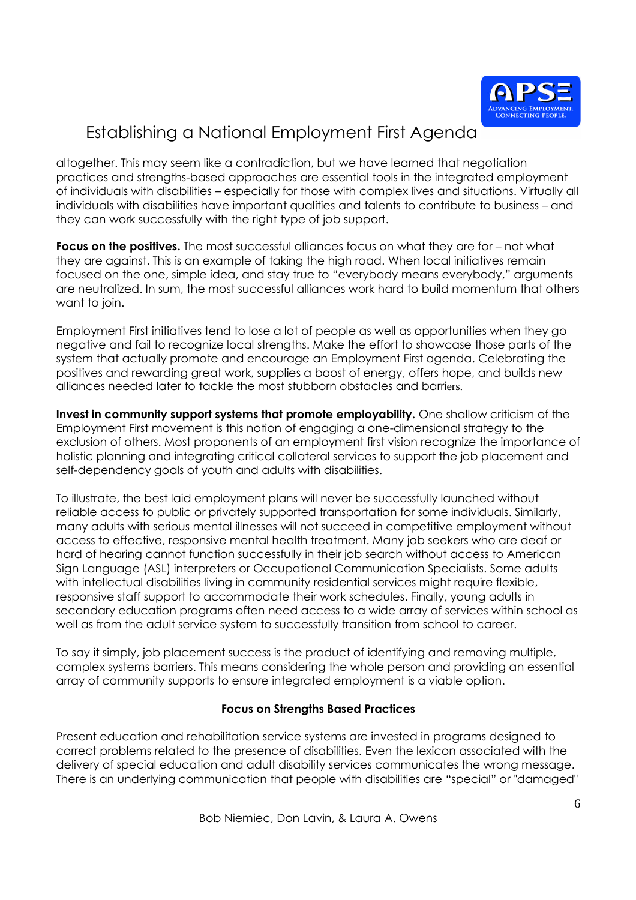

altogether. This may seem like a contradiction, but we have learned that negotiation practices and strengths-based approaches are essential tools in the integrated employment of individuals with disabilities – especially for those with complex lives and situations. Virtually all individuals with disabilities have important qualities and talents to contribute to business – and they can work successfully with the right type of job support.

**Focus on the positives.** The most successful alliances focus on what they are for – not what they are against. This is an example of taking the high road. When local initiatives remain focused on the one, simple idea, and stay true to "everybody means everybody," arguments are neutralized. In sum, the most successful alliances work hard to build momentum that others want to join.

Employment First initiatives tend to lose a lot of people as well as opportunities when they go negative and fail to recognize local strengths. Make the effort to showcase those parts of the system that actually promote and encourage an Employment First agenda. Celebrating the positives and rewarding great work, supplies a boost of energy, offers hope, and builds new alliances needed later to tackle the most stubborn obstacles and barriers.

**Invest in community support systems that promote employability.** One shallow criticism of the Employment First movement is this notion of engaging a one-dimensional strategy to the exclusion of others. Most proponents of an employment first vision recognize the importance of holistic planning and integrating critical collateral services to support the job placement and self-dependency goals of youth and adults with disabilities.

To illustrate, the best laid employment plans will never be successfully launched without reliable access to public or privately supported transportation for some individuals. Similarly, many adults with serious mental illnesses will not succeed in competitive employment without access to effective, responsive mental health treatment. Many job seekers who are deaf or hard of hearing cannot function successfully in their job search without access to American Sign Language (ASL) interpreters or Occupational Communication Specialists. Some adults with intellectual disabilities living in community residential services might require flexible, responsive staff support to accommodate their work schedules. Finally, young adults in secondary education programs often need access to a wide array of services within school as well as from the adult service system to successfully transition from school to career.

To say it simply, job placement success is the product of identifying and removing multiple, complex systems barriers. This means considering the whole person and providing an essential array of community supports to ensure integrated employment is a viable option.

### **Focus on Strengths Based Practices**

Present education and rehabilitation service systems are invested in programs designed to correct problems related to the presence of disabilities. Even the lexicon associated with the delivery of special education and adult disability services communicates the wrong message. There is an underlying communication that people with disabilities are "special" or "damaged"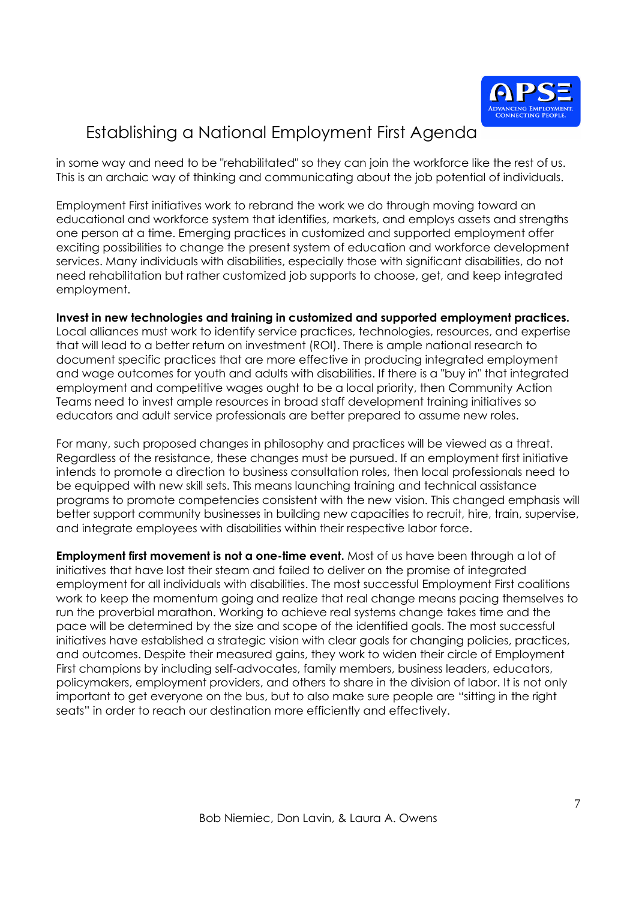

in some way and need to be "rehabilitated" so they can join the workforce like the rest of us. This is an archaic way of thinking and communicating about the job potential of individuals.

Employment First initiatives work to rebrand the work we do through moving toward an educational and workforce system that identifies, markets, and employs assets and strengths one person at a time. Emerging practices in customized and supported employment offer exciting possibilities to change the present system of education and workforce development services. Many individuals with disabilities, especially those with significant disabilities, do not need rehabilitation but rather customized job supports to choose, get, and keep integrated employment.

**Invest in new technologies and training in customized and supported employment practices.** Local alliances must work to identify service practices, technologies, resources, and expertise that will lead to a better return on investment (ROI). There is ample national research to document specific practices that are more effective in producing integrated employment and wage outcomes for youth and adults with disabilities. If there is a "buy in" that integrated employment and competitive wages ought to be a local priority, then Community Action Teams need to invest ample resources in broad staff development training initiatives so educators and adult service professionals are better prepared to assume new roles.

For many, such proposed changes in philosophy and practices will be viewed as a threat. Regardless of the resistance, these changes must be pursued. If an employment first initiative intends to promote a direction to business consultation roles, then local professionals need to be equipped with new skill sets. This means launching training and technical assistance programs to promote competencies consistent with the new vision. This changed emphasis will better support community businesses in building new capacities to recruit, hire, train, supervise, and integrate employees with disabilities within their respective labor force.

**Employment first movement is not a one-time event.** Most of us have been through a lot of initiatives that have lost their steam and failed to deliver on the promise of integrated employment for all individuals with disabilities. The most successful Employment First coalitions work to keep the momentum going and realize that real change means pacing themselves to run the proverbial marathon. Working to achieve real systems change takes time and the pace will be determined by the size and scope of the identified goals. The most successful initiatives have established a strategic vision with clear goals for changing policies, practices, and outcomes. Despite their measured gains, they work to widen their circle of Employment First champions by including self-advocates, family members, business leaders, educators, policymakers, employment providers, and others to share in the division of labor. It is not only important to get everyone on the bus, but to also make sure people are "sitting in the right seats" in order to reach our destination more efficiently and effectively.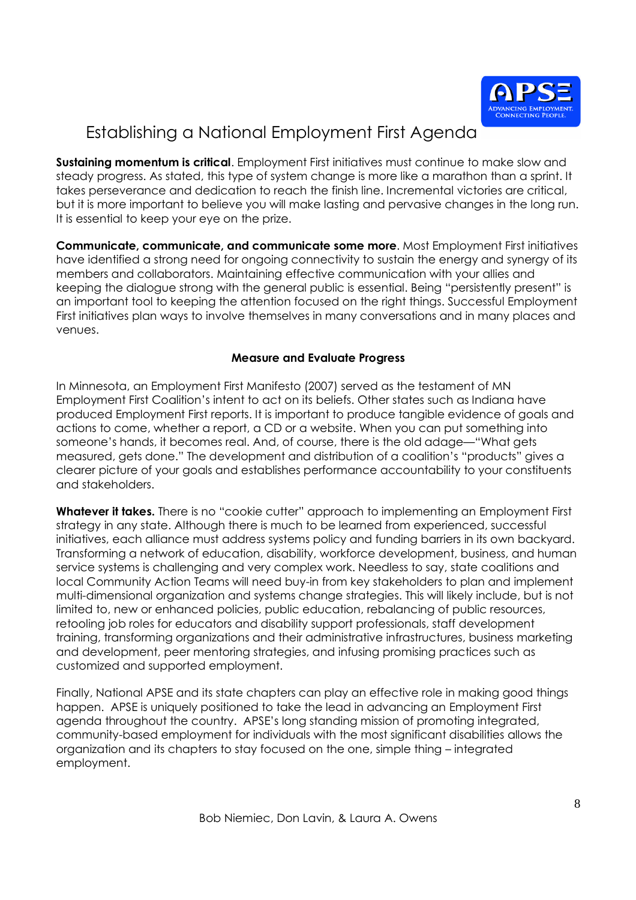

**Sustaining momentum is critical**. Employment First initiatives must continue to make slow and steady progress. As stated, this type of system change is more like a marathon than a sprint. It takes perseverance and dedication to reach the finish line. Incremental victories are critical, but it is more important to believe you will make lasting and pervasive changes in the long run. It is essential to keep your eye on the prize.

**Communicate, communicate, and communicate some more**. Most Employment First initiatives have identified a strong need for ongoing connectivity to sustain the energy and synergy of its members and collaborators. Maintaining effective communication with your allies and keeping the dialogue strong with the general public is essential. Being "persistently present" is an important tool to keeping the attention focused on the right things. Successful Employment First initiatives plan ways to involve themselves in many conversations and in many places and venues.

### **Measure and Evaluate Progress**

In Minnesota, an Employment First Manifesto (2007) served as the testament of MN Employment First Coalition's intent to act on its beliefs. Other states such as Indiana have produced Employment First reports. It is important to produce tangible evidence of goals and actions to come, whether a report, a CD or a website. When you can put something into someone's hands, it becomes real. And, of course, there is the old adage—"What gets measured, gets done." The development and distribution of a coalition's "products" gives a clearer picture of your goals and establishes performance accountability to your constituents and stakeholders.

**Whatever it takes.** There is no "cookie cutter" approach to implementing an Employment First strategy in any state. Although there is much to be learned from experienced, successful initiatives, each alliance must address systems policy and funding barriers in its own backyard. Transforming a network of education, disability, workforce development, business, and human service systems is challenging and very complex work. Needless to say, state coalitions and local Community Action Teams will need buy-in from key stakeholders to plan and implement multi-dimensional organization and systems change strategies. This will likely include, but is not limited to, new or enhanced policies, public education, rebalancing of public resources, retooling job roles for educators and disability support professionals, staff development training, transforming organizations and their administrative infrastructures, business marketing and development, peer mentoring strategies, and infusing promising practices such as customized and supported employment.

Finally, National APSE and its state chapters can play an effective role in making good things happen. APSE is uniquely positioned to take the lead in advancing an Employment First agenda throughout the country. APSE's long standing mission of promoting integrated, community-based employment for individuals with the most significant disabilities allows the organization and its chapters to stay focused on the one, simple thing – integrated employment.